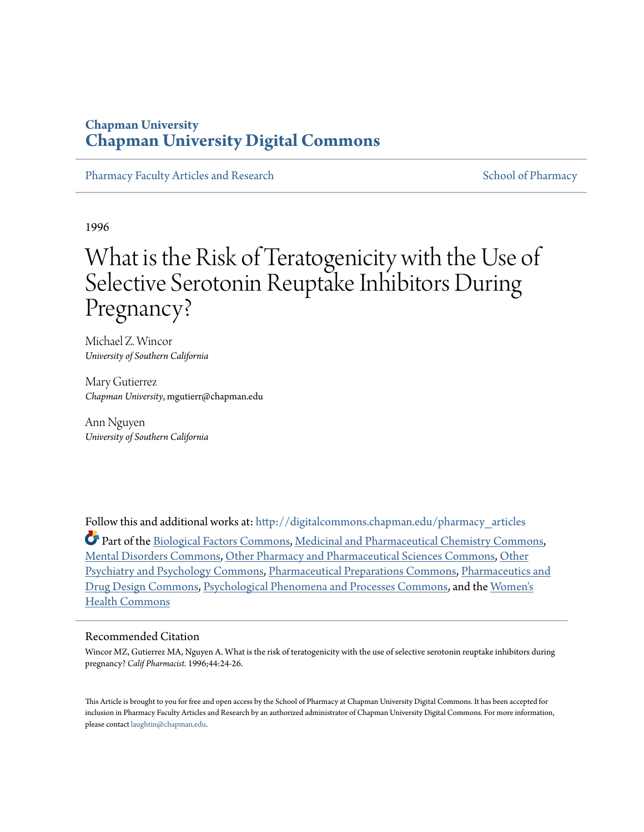### **Chapman University [Chapman University Digital Commons](http://digitalcommons.chapman.edu?utm_source=digitalcommons.chapman.edu%2Fpharmacy_articles%2F497&utm_medium=PDF&utm_campaign=PDFCoverPages)**

[Pharmacy Faculty Articles and Research](http://digitalcommons.chapman.edu/pharmacy_articles?utm_source=digitalcommons.chapman.edu%2Fpharmacy_articles%2F497&utm_medium=PDF&utm_campaign=PDFCoverPages) [School of Pharmacy](http://digitalcommons.chapman.edu/cusp?utm_source=digitalcommons.chapman.edu%2Fpharmacy_articles%2F497&utm_medium=PDF&utm_campaign=PDFCoverPages) Faculty Articles and Research School of Pharmacy

1996

# What is the Risk of Teratogenicity with the Use of Selective Serotonin Reuptake Inhibitors During Pregnancy?

Michael Z. Wincor *University of Southern California*

Mary Gutierrez *Chapman University*, mgutierr@chapman.edu

Ann Nguyen *University of Southern California*

Follow this and additional works at: [http://digitalcommons.chapman.edu/pharmacy\\_articles](http://digitalcommons.chapman.edu/pharmacy_articles?utm_source=digitalcommons.chapman.edu%2Fpharmacy_articles%2F497&utm_medium=PDF&utm_campaign=PDFCoverPages)

Part of the [Biological Factors Commons,](http://network.bepress.com/hgg/discipline/930?utm_source=digitalcommons.chapman.edu%2Fpharmacy_articles%2F497&utm_medium=PDF&utm_campaign=PDFCoverPages) [Medicinal and Pharmaceutical Chemistry Commons,](http://network.bepress.com/hgg/discipline/734?utm_source=digitalcommons.chapman.edu%2Fpharmacy_articles%2F497&utm_medium=PDF&utm_campaign=PDFCoverPages) [Mental Disorders Commons,](http://network.bepress.com/hgg/discipline/968?utm_source=digitalcommons.chapman.edu%2Fpharmacy_articles%2F497&utm_medium=PDF&utm_campaign=PDFCoverPages) [Other Pharmacy and Pharmaceutical Sciences Commons,](http://network.bepress.com/hgg/discipline/737?utm_source=digitalcommons.chapman.edu%2Fpharmacy_articles%2F497&utm_medium=PDF&utm_campaign=PDFCoverPages) [Other](http://network.bepress.com/hgg/discipline/992?utm_source=digitalcommons.chapman.edu%2Fpharmacy_articles%2F497&utm_medium=PDF&utm_campaign=PDFCoverPages) [Psychiatry and Psychology Commons,](http://network.bepress.com/hgg/discipline/992?utm_source=digitalcommons.chapman.edu%2Fpharmacy_articles%2F497&utm_medium=PDF&utm_campaign=PDFCoverPages) [Pharmaceutical Preparations Commons,](http://network.bepress.com/hgg/discipline/936?utm_source=digitalcommons.chapman.edu%2Fpharmacy_articles%2F497&utm_medium=PDF&utm_campaign=PDFCoverPages) [Pharmaceutics and](http://network.bepress.com/hgg/discipline/733?utm_source=digitalcommons.chapman.edu%2Fpharmacy_articles%2F497&utm_medium=PDF&utm_campaign=PDFCoverPages) [Drug Design Commons,](http://network.bepress.com/hgg/discipline/733?utm_source=digitalcommons.chapman.edu%2Fpharmacy_articles%2F497&utm_medium=PDF&utm_campaign=PDFCoverPages) [Psychological Phenomena and Processes Commons,](http://network.bepress.com/hgg/discipline/914?utm_source=digitalcommons.chapman.edu%2Fpharmacy_articles%2F497&utm_medium=PDF&utm_campaign=PDFCoverPages) and the [Women's](http://network.bepress.com/hgg/discipline/1241?utm_source=digitalcommons.chapman.edu%2Fpharmacy_articles%2F497&utm_medium=PDF&utm_campaign=PDFCoverPages) [Health Commons](http://network.bepress.com/hgg/discipline/1241?utm_source=digitalcommons.chapman.edu%2Fpharmacy_articles%2F497&utm_medium=PDF&utm_campaign=PDFCoverPages)

#### Recommended Citation

Wincor MZ, Gutierrez MA, Nguyen A. What is the risk of teratogenicity with the use of selective serotonin reuptake inhibitors during pregnancy? *Calif Pharmacist*. 1996;44:24-26.

This Article is brought to you for free and open access by the School of Pharmacy at Chapman University Digital Commons. It has been accepted for inclusion in Pharmacy Faculty Articles and Research by an authorized administrator of Chapman University Digital Commons. For more information, please contact [laughtin@chapman.edu.](mailto:laughtin@chapman.edu)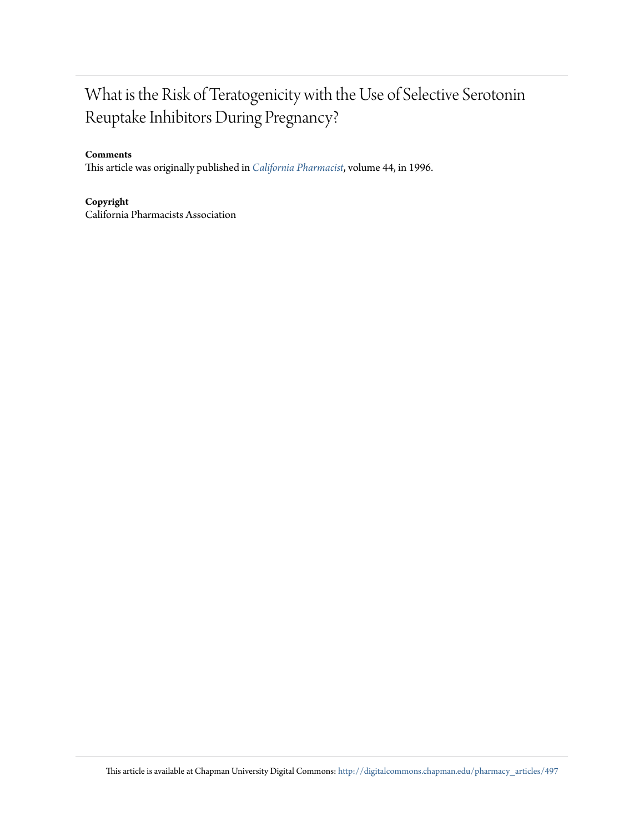## What is the Risk of Teratogenicity with the Use of Selective Serotonin Reuptake Inhibitors During Pregnancy?

#### **Comments**

This article was originally published in *[California Pharmacist](http://www.cpha.com/journal)*, volume 44, in 1996.

**Copyright**

California Pharmacists Association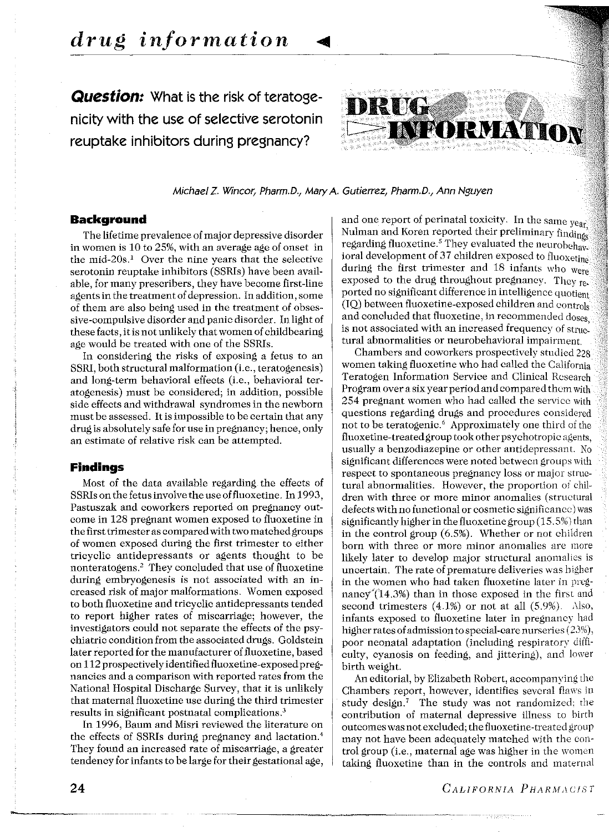**Question:** What is the risk of teratogenicity with the use of selective serotonin reuptake inhibitors during pregnancy?



Michael Z. Wincor, Pharm.D., Mary A. Gutierrez, Pharm.D., Ann Nguyen

#### **Background**

The lifetime prevalence of major depressive disorder in women is 10 to 25%, with an average age of onset in the mid- $20s<sup>1</sup>$  Over the nine years that the selective serotonin reuptake inhibitors (SSRis) have been available, for many prescribers, they have become first-line agents in the treatment of depression. In addition, sorne of them are also being used in the treatment of obsessive-compulsive disorder and panic disorder. In light of these facts, itis not unlikely that women of childbearing age would be treated with one of the SSRis.

In considering the risks of exposing a fetus to an SSRI, both structural malformation (i.e., teratogenesis) and long-term behavioral effects (i.e., behavioral teratogenesis) must be considered; in addition, possible side effects and withdrawal syndromes in the newborn must be assessed. It is impossible to be certain that any drug is absolutely safe for use in pregnancy; hence, only an estimate of relative risk can be attempted.

#### **Findings**

Most of the data available regarding the effects of SSRIs on the fetus involve the use of fluoxetine. In 1993, Pastuszak and coworkers reported on pregnancy outcome in 128 pregnant women exposed to fluoxetine in the first trimester as compared with two matchedgroups of women exposed during the first trimester to either tricyclic antidepressants or agents thought to be nonteratogens.<sup>2</sup> They concluded that use of fluoxetine during embryogenesis is not associated with an increased risk of major malformations. \Vomen exposed to both fluoxetine and tricyclic antidepressants tended to report higher rates of miscarriage; however, the investigators could not separate the effects of the psychiatrie condition from the associated drugs. Goldstein later reported for the manufacturer of fluoxetine, based on 112 prospectivelyidentifiedfluoxetine-exposed pregnancies and a comparison with reported rates from the National Hospital Discharge Survey, that it is unlikely that maternai fluoxetine use during the third trimester results in significant postnatal complications.3

In 1996, Baum and Misri reviewed the literature on the effects of SSRis during pregnancy and lactation. 4 They found an increased rate of miscarriage, a greater tendency for infants to be large for their gestational age, and one report of perinatal toxicity. In the same year, Nulman and Koren reported their preliminary finding; regarding fluoxetine.<sup>5</sup> They evaluated the neurobehav. ioral development of 37 children exposed to fluoxetine during the first trimester and 18 infants who were exposed to the drug throughout pregnancy. They reported no significant difference in intelligence quotient (IQ) between fluoxetine-exposed children and contrais and concluded that fluoxetine, in recommended doses is not associated with an increased frequency of structural abnormalities or neurobehavioral impairment.

Chambers and coworkers prospectively studied 228 women taking fluoxetine who had called the California Teratogen Information Service and Clinical Rcsearch Program over a six year period and compared them with 254 pregnant women who had called the service with questions regarding drugs and procedures considcred not to be teratogenic.<sup>6</sup> Approximately one third of the fluoxetine-treated group took other psychotropic agents, usually a benzodiazepine or other antidepressant. No significant differences were noted betwecn groups with respect to spontaneous pregnancy loss or major structural abnormalities. However, the proportion of children with three or more minor anomalies (structural defects with no functional or cosrnetic significancc) was significantly higher in the fluoxetine group (15. 5%) than in the control group (6.5%). Whether or not children born with three or more minor anomalies are more likely later to develop major structural anomalies is uncertain. The rate of premature deliveries was higher in the women who had taken fluoxetine later in pregnancy<sup> $\pi$ </sup>(14.3%) than in those exposed in the first and second trimesters  $(4.1%)$  or not at all  $(5.9%)$ . Also, infants exposed to fluoxetine later in pregnancy had higher rates of admission to special-care nurseries  $(23%)$ , poor neonatal adaptation (including respiratory difficulty, cyanosis on feeding, and jittering), and lower birth weight.

An editorial, by Elizabeth Robert, accompanying the Chambers report, however, identifies sevcral flaws in study design.<sup>7</sup> The study was not randomized; the contribution of maternai depressive illness to hirth outcomes was not excluded; the fluoxetine-treated group may not have been adequately matched with the control group (i.e., maternai age was higher in the womcn taking fluoxetine than in the controls and maternal